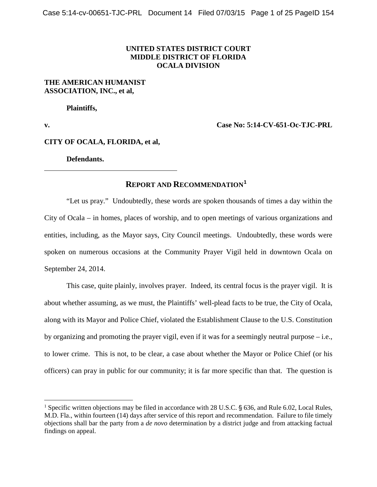## **UNITED STATES DISTRICT COURT MIDDLE DISTRICT OF FLORIDA OCALA DIVISION**

## **THE AMERICAN HUMANIST ASSOCIATION, INC., et al,**

**Plaintiffs,**

**v. Case No: 5:14-CV-651-Oc-TJC-PRL**

**CITY OF OCALA, FLORIDA, et al,** 

**Defendants.**

# **REPORT AND RECOMMENDATION[1](#page-0-0)**

"Let us pray." Undoubtedly, these words are spoken thousands of times a day within the City of Ocala – in homes, places of worship, and to open meetings of various organizations and entities, including, as the Mayor says, City Council meetings. Undoubtedly, these words were spoken on numerous occasions at the Community Prayer Vigil held in downtown Ocala on September 24, 2014.

This case, quite plainly, involves prayer. Indeed, its central focus is the prayer vigil. It is about whether assuming, as we must, the Plaintiffs' well-plead facts to be true, the City of Ocala, along with its Mayor and Police Chief, violated the Establishment Clause to the U.S. Constitution by organizing and promoting the prayer vigil, even if it was for a seemingly neutral purpose – i.e., to lower crime. This is not, to be clear, a case about whether the Mayor or Police Chief (or his officers) can pray in public for our community; it is far more specific than that. The question is

<span id="page-0-0"></span><sup>&</sup>lt;sup>1</sup> Specific written objections may be filed in accordance with 28 U.S.C. § 636, and Rule 6.02, Local Rules, M.D. Fla., within fourteen (14) days after service of this report and recommendation. Failure to file timely objections shall bar the party from a *de novo* determination by a district judge and from attacking factual findings on appeal.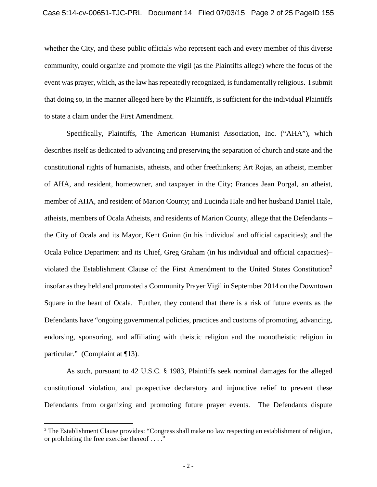whether the City, and these public officials who represent each and every member of this diverse community, could organize and promote the vigil (as the Plaintiffs allege) where the focus of the event was prayer, which, as the law has repeatedly recognized, is fundamentally religious. I submit that doing so, in the manner alleged here by the Plaintiffs, is sufficient for the individual Plaintiffs to state a claim under the First Amendment.

Specifically, Plaintiffs, The American Humanist Association, Inc. ("AHA"), which describes itself as dedicated to advancing and preserving the separation of church and state and the constitutional rights of humanists, atheists, and other freethinkers; Art Rojas, an atheist, member of AHA, and resident, homeowner, and taxpayer in the City; Frances Jean Porgal, an atheist, member of AHA, and resident of Marion County; and Lucinda Hale and her husband Daniel Hale, atheists, members of Ocala Atheists, and residents of Marion County, allege that the Defendants – the City of Ocala and its Mayor, Kent Guinn (in his individual and official capacities); and the Ocala Police Department and its Chief, Greg Graham (in his individual and official capacities)– violated the Establishment Clause of the First Amendment to the United States Constitution[2](#page-1-0) insofar as they held and promoted a Community Prayer Vigil in September 2014 on the Downtown Square in the heart of Ocala. Further, they contend that there is a risk of future events as the Defendants have "ongoing governmental policies, practices and customs of promoting, advancing, endorsing, sponsoring, and affiliating with theistic religion and the monotheistic religion in particular." (Complaint at ¶13).

As such, pursuant to 42 U.S.C. § 1983, Plaintiffs seek nominal damages for the alleged constitutional violation, and prospective declaratory and injunctive relief to prevent these Defendants from organizing and promoting future prayer events. The Defendants dispute

<span id="page-1-0"></span><sup>&</sup>lt;sup>2</sup> The Establishment Clause provides: "Congress shall make no law respecting an establishment of religion, or prohibiting the free exercise thereof . . . ."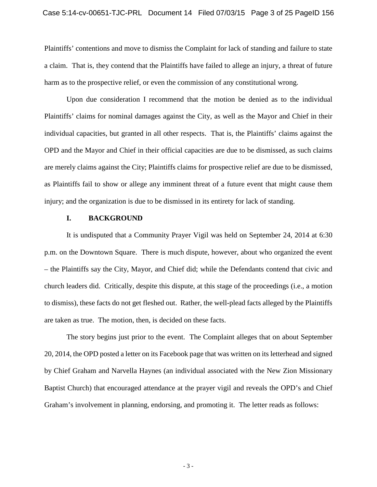Plaintiffs' contentions and move to dismiss the Complaint for lack of standing and failure to state a claim. That is, they contend that the Plaintiffs have failed to allege an injury, a threat of future harm as to the prospective relief, or even the commission of any constitutional wrong.

Upon due consideration I recommend that the motion be denied as to the individual Plaintiffs' claims for nominal damages against the City, as well as the Mayor and Chief in their individual capacities, but granted in all other respects. That is, the Plaintiffs' claims against the OPD and the Mayor and Chief in their official capacities are due to be dismissed, as such claims are merely claims against the City; Plaintiffs claims for prospective relief are due to be dismissed, as Plaintiffs fail to show or allege any imminent threat of a future event that might cause them injury; and the organization is due to be dismissed in its entirety for lack of standing.

#### **I. BACKGROUND**

It is undisputed that a Community Prayer Vigil was held on September 24, 2014 at 6:30 p.m. on the Downtown Square. There is much dispute, however, about who organized the event – the Plaintiffs say the City, Mayor, and Chief did; while the Defendants contend that civic and church leaders did. Critically, despite this dispute, at this stage of the proceedings (i.e., a motion to dismiss), these facts do not get fleshed out. Rather, the well-plead facts alleged by the Plaintiffs are taken as true. The motion, then, is decided on these facts.

The story begins just prior to the event. The Complaint alleges that on about September 20, 2014, the OPD posted a letter on its Facebook page that was written on its letterhead and signed by Chief Graham and Narvella Haynes (an individual associated with the New Zion Missionary Baptist Church) that encouraged attendance at the prayer vigil and reveals the OPD's and Chief Graham's involvement in planning, endorsing, and promoting it. The letter reads as follows:

- 3 -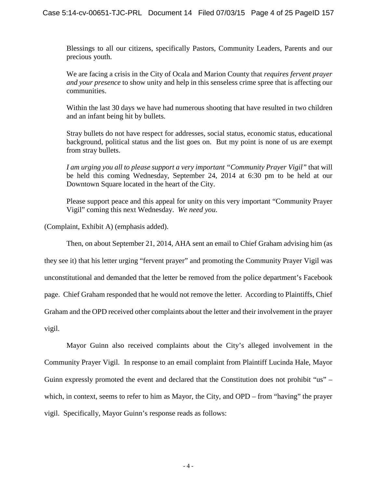Blessings to all our citizens, specifically Pastors, Community Leaders, Parents and our precious youth.

We are facing a crisis in the City of Ocala and Marion County that *requires fervent prayer and your presence* to show unity and help in this senseless crime spree that is affecting our communities.

Within the last 30 days we have had numerous shooting that have resulted in two children and an infant being hit by bullets.

Stray bullets do not have respect for addresses, social status, economic status, educational background, political status and the list goes on. But my point is none of us are exempt from stray bullets.

*I am urging you all to please support a very important "Community Prayer Vigil"* that will be held this coming Wednesday, September 24, 2014 at 6:30 pm to be held at our Downtown Square located in the heart of the City.

Please support peace and this appeal for unity on this very important "Community Prayer Vigil" coming this next Wednesday. *We need you*.

(Complaint, Exhibit A) (emphasis added).

Then, on about September 21, 2014, AHA sent an email to Chief Graham advising him (as

they see it) that his letter urging "fervent prayer" and promoting the Community Prayer Vigil was

unconstitutional and demanded that the letter be removed from the police department's Facebook

page. Chief Graham responded that he would not remove the letter. According to Plaintiffs, Chief

Graham and the OPD received other complaints about the letter and their involvement in the prayer

vigil.

Mayor Guinn also received complaints about the City's alleged involvement in the Community Prayer Vigil. In response to an email complaint from Plaintiff Lucinda Hale, Mayor Guinn expressly promoted the event and declared that the Constitution does not prohibit "us" – which, in context, seems to refer to him as Mayor, the City, and OPD – from "having" the prayer vigil. Specifically, Mayor Guinn's response reads as follows: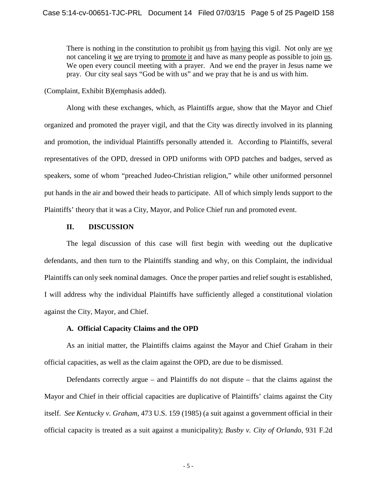There is nothing in the constitution to prohibit us from having this vigil. Not only are we not canceling it we are trying to promote it and have as many people as possible to join us. We open every council meeting with a prayer. And we end the prayer in Jesus name we pray. Our city seal says "God be with us" and we pray that he is and us with him.

(Complaint, Exhibit B)(emphasis added).

Along with these exchanges, which, as Plaintiffs argue, show that the Mayor and Chief organized and promoted the prayer vigil, and that the City was directly involved in its planning and promotion, the individual Plaintiffs personally attended it. According to Plaintiffs, several representatives of the OPD, dressed in OPD uniforms with OPD patches and badges, served as speakers, some of whom "preached Judeo-Christian religion," while other uniformed personnel put hands in the air and bowed their heads to participate. All of which simply lends support to the Plaintiffs' theory that it was a City, Mayor, and Police Chief run and promoted event.

## **II. DISCUSSION**

The legal discussion of this case will first begin with weeding out the duplicative defendants, and then turn to the Plaintiffs standing and why, on this Complaint, the individual Plaintiffs can only seek nominal damages. Once the proper parties and relief sought is established, I will address why the individual Plaintiffs have sufficiently alleged a constitutional violation against the City, Mayor, and Chief.

## **A. Official Capacity Claims and the OPD**

As an initial matter, the Plaintiffs claims against the Mayor and Chief Graham in their official capacities, as well as the claim against the OPD, are due to be dismissed.

Defendants correctly argue – and Plaintiffs do not dispute – that the claims against the Mayor and Chief in their official capacities are duplicative of Plaintiffs' claims against the City itself. *See Kentucky v. Graham*, 473 U.S. 159 (1985) (a suit against a government official in their official capacity is treated as a suit against a municipality); *[Busby v. City of Orlando,](http://web2.westlaw.com/find/default.wl?mt=Westlaw&db=350&tc=-1&rp=%2ffind%2fdefault.wl&findtype=Y&ordoc=2033887608&serialnum=1991085185&vr=2.0&fn=_top&sv=Split&tf=-1&referencepositiontype=S&pbc=5120E23F&referenceposition=776&rs=WLW15.04)* 931 F.2d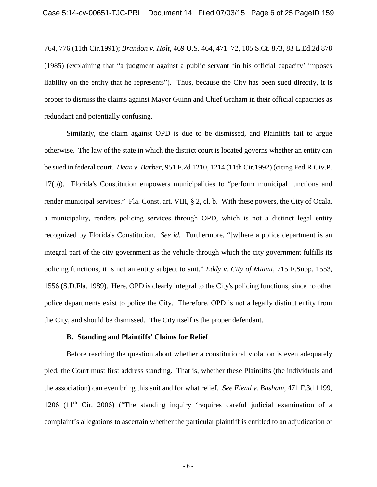[764, 776 \(11th Cir.1991\);](http://web2.westlaw.com/find/default.wl?mt=Westlaw&db=350&tc=-1&rp=%2ffind%2fdefault.wl&findtype=Y&ordoc=2033887608&serialnum=1991085185&vr=2.0&fn=_top&sv=Split&tf=-1&referencepositiontype=S&pbc=5120E23F&referenceposition=776&rs=WLW15.04) *Brandon v. Holt,* [469 U.S. 464, 471–72, 105 S.Ct. 873, 83 L.Ed.2d 878](http://web2.westlaw.com/find/default.wl?mt=Westlaw&db=708&tc=-1&rp=%2ffind%2fdefault.wl&findtype=Y&ordoc=2033887608&serialnum=1985103865&vr=2.0&fn=_top&sv=Split&tf=-1&pbc=5120E23F&rs=WLW15.04)  [\(1985\)](http://web2.westlaw.com/find/default.wl?mt=Westlaw&db=708&tc=-1&rp=%2ffind%2fdefault.wl&findtype=Y&ordoc=2033887608&serialnum=1985103865&vr=2.0&fn=_top&sv=Split&tf=-1&pbc=5120E23F&rs=WLW15.04) (explaining that "a judgment against a public servant 'in his official capacity' imposes liability on the entity that he represents"). Thus, because the City has been sued directly, it is proper to dismiss the claims against Mayor Guinn and Chief Graham in their official capacities as redundant and potentially confusing.

Similarly, the claim against OPD is due to be dismissed, and Plaintiffs fail to argue otherwise. The law of the state in which the district court is located governs whether an entity can be sued in federal court. *Dean v. Barber,* [951 F.2d 1210, 1214 \(11th Cir.1992\)](http://web2.westlaw.com/find/default.wl?mt=Westlaw&db=350&tc=-1&rp=%2ffind%2fdefault.wl&findtype=Y&ordoc=2033887608&serialnum=1992021852&vr=2.0&fn=_top&sv=Split&tf=-1&referencepositiontype=S&pbc=5120E23F&referenceposition=1214&rs=WLW15.04) (citing Fed.R.Civ.P. 17(b)). Florida's Constitution empowers municipalities to "perform municipal functions and render municipal services." [Fla. Const. art. VIII, § 2,](http://web2.westlaw.com/find/default.wl?mt=Westlaw&db=1000006&docname=FLCNART8S2&rp=%2ffind%2fdefault.wl&findtype=L&ordoc=2033887608&tc=-1&vr=2.0&fn=_top&sv=Split&tf=-1&pbc=5120E23F&rs=WLW15.04) cl. b. With these powers, the City of Ocala, a municipality, renders policing services through OPD, which is not a distinct legal entity recognized by Florida's Constitution. *See id.* Furthermore, "[w]here a police department is an integral part of the city government as the vehicle through which the city government fulfills its policing functions, it is not an entity subject to suit." *[Eddy v. City of Miami,](http://web2.westlaw.com/find/default.wl?mt=Westlaw&db=345&tc=-1&rp=%2ffind%2fdefault.wl&findtype=Y&ordoc=2033887608&serialnum=1989106064&vr=2.0&fn=_top&sv=Split&tf=-1&referencepositiontype=S&pbc=5120E23F&referenceposition=1556&rs=WLW15.04)* 715 F.Supp. 1553, [1556 \(S.D.Fla.](http://web2.westlaw.com/find/default.wl?mt=Westlaw&db=345&tc=-1&rp=%2ffind%2fdefault.wl&findtype=Y&ordoc=2033887608&serialnum=1989106064&vr=2.0&fn=_top&sv=Split&tf=-1&referencepositiontype=S&pbc=5120E23F&referenceposition=1556&rs=WLW15.04) 1989). Here, OPD is clearly integral to the City's policing functions, since no other police departments exist to police the City. Therefore, OPD is not a legally distinct entity from the City, and should be dismissed. The City itself is the proper defendant.

### **B. Standing and Plaintiffs' Claims for Relief**

Before reaching the question about whether a constitutional violation is even adequately pled, the Court must first address standing. That is, whether these Plaintiffs (the individuals and the association) can even bring this suit and for what relief. *See Elend v. Basham*, 471 F.3d 1199, 1206  $(11<sup>th</sup>$  Cir. 2006) ("The standing inquiry 'requires careful judicial examination of a complaint's allegations to ascertain whether the particular plaintiff is entitled to an adjudication of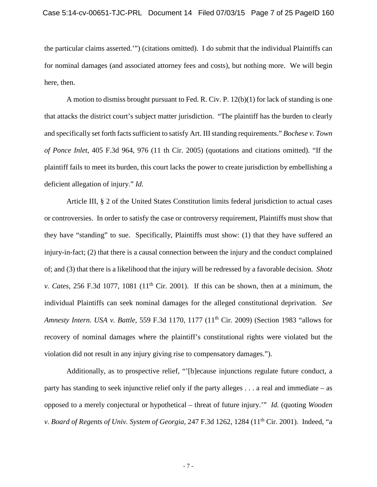the particular claims asserted.'") (citations omitted). I do submit that the individual Plaintiffs can for nominal damages (and associated attorney fees and costs), but nothing more. We will begin here, then.

A motion to dismiss brought pursuant to Fed. R. Civ. P. 12(b)(1) for lack of standing is one that attacks the district court's subject matter jurisdiction. "The plaintiff has the burden to clearly and specifically set forth facts sufficient to satisfy Art. III standing requirements." *Bochese v. Town of Ponce Inlet*, 405 F.3d 964, 976 (11 th Cir. 2005) (quotations and citations omitted). "If the plaintiff fails to meet its burden, this court lacks the power to create jurisdiction by embellishing a deficient allegation of injury." *Id*.

Article III, § 2 of the United States Constitution limits federal jurisdiction to actual cases or controversies. In order to satisfy the case or controversy requirement, Plaintiffs must show that they have "standing" to sue. Specifically, Plaintiffs must show: (1) that they have suffered an injury-in-fact; (2) that there is a causal connection between the injury and the conduct complained of; and (3) that there is a likelihood that the injury will be redressed by a favorable decision. *Shotz v. Cates*, 256 F.3d 1077, 1081 ( $11<sup>th</sup>$  Cir. 2001). If this can be shown, then at a minimum, the individual Plaintiffs can seek nominal damages for the alleged constitutional deprivation. *See Amnesty Intern. USA v. Battle*, 559 F.3d 1170, 1177 (11th Cir. 2009) (Section 1983 "allows for recovery of nominal damages where the plaintiff's constitutional rights were violated but the violation did not result in any injury giving rise to compensatory damages.").

Additionally, as to prospective relief, "'[b]ecause injunctions regulate future conduct, a party has standing to seek injunctive relief only if the party alleges . . . a real and immediate – as opposed to a merely conjectural or hypothetical – threat of future injury.'" *Id.* (quoting *Wooden v. Board of Regents of Univ. System of Georgia*, 247 F.3d 1262, 1284 (11th Cir. 2001). Indeed, "a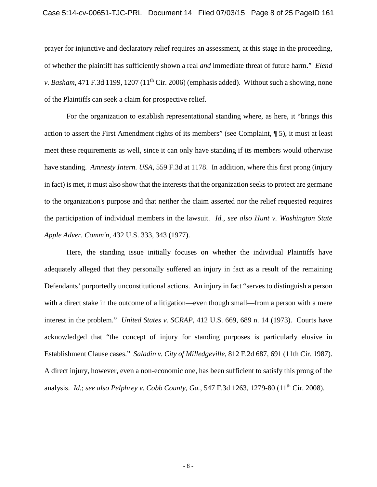### Case 5:14-cv-00651-TJC-PRL Document 14 Filed 07/03/15 Page 8 of 25 PageID 161

prayer for injunctive and declaratory relief requires an assessment, at this stage in the proceeding, of whether the plaintiff has sufficiently shown a real *and* immediate threat of future harm." *Elend v. Basham*, 471 F.3d 1199, 1207 (11<sup>th</sup> Cir. 2006) (emphasis added). Without such a showing, none of the Plaintiffs can seek a claim for prospective relief.

For the organization to establish representational standing where, as here, it "brings this action to assert the First Amendment rights of its members" (see Complaint, ¶ 5), it must at least meet these requirements as well, since it can only have standing if its members would otherwise have standing. *Amnesty Intern. USA*, 559 F.3d at 1178. In addition, where this first prong (injury in fact) is met, it must also show that the interests that the organization seeks to protect are germane to the organization's purpose and that neither the claim asserted nor the relief requested requires the participation of individual members in the lawsuit. *Id.*, *see also [Hunt v. Washington State](http://web2.westlaw.com/find/default.wl?mt=Westlaw&db=780&tc=-1&rp=%2ffind%2fdefault.wl&findtype=Y&ordoc=2011738420&serialnum=1977118827&vr=2.0&fn=_top&sv=Split&tf=-1&referencepositiontype=S&pbc=23F72377&referenceposition=343&rs=WLW15.04)  Apple Adver. Comm'n,* [432 U.S. 333, 343 \(1977\).](http://web2.westlaw.com/find/default.wl?mt=Westlaw&db=780&tc=-1&rp=%2ffind%2fdefault.wl&findtype=Y&ordoc=2011738420&serialnum=1977118827&vr=2.0&fn=_top&sv=Split&tf=-1&referencepositiontype=S&pbc=23F72377&referenceposition=343&rs=WLW15.04)

Here, the standing issue initially focuses on whether the individual Plaintiffs have adequately alleged that they personally suffered an injury in fact as a result of the remaining Defendants' purportedly unconstitutional actions. An injury in fact "serves to distinguish a person with a direct stake in the outcome of a litigation—even though small—from a person with a mere interest in the problem." *United States v. SCRAP,* 412 [U.S. 669, 689 n. 14 \(1973\).](http://web2.westlaw.com/find/default.wl?mt=Westlaw&db=708&tc=-1&rp=%2ffind%2fdefault.wl&findtype=Y&ordoc=1982149813&serialnum=1973126426&vr=2.0&fn=_top&sv=Split&tf=-1&referencepositiontype=S&pbc=B5549409&referenceposition=2416&rs=WLW15.04) Courts have acknowledged that "the concept of injury for standing purposes is particularly elusive in Establishment Clause cases." *Saladin v. City of Milledgeville*, 812 F.2d 687, 691 (11th Cir. 1987). A direct injury, however, even a non-economic one, has been sufficient to satisfy this prong of the analysis. *Id.*; *see also Pelphrey v. Cobb County, Ga.*, 547 F.3d 1263, 1279-80 (11th Cir. 2008).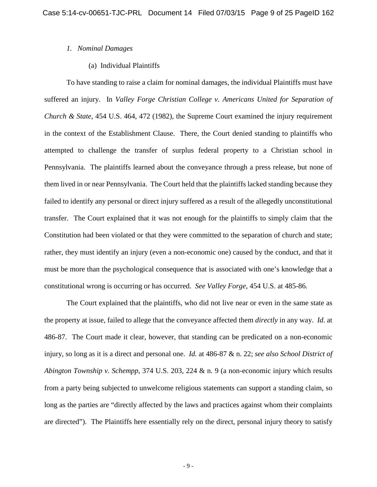### *1. Nominal Damages*

(a) Individual Plaintiffs

To have standing to raise a claim for nominal damages, the individual Plaintiffs must have suffered an injury. In *Valley Forge Christian College v. Americans United for Separation of Church & State*, 454 U.S. 464, 472 (1982), the Supreme Court examined the injury requirement in the context of the Establishment Clause. There, the Court denied standing to plaintiffs who attempted to challenge the transfer of surplus federal property to a Christian school in Pennsylvania. The plaintiffs learned about the conveyance through a press release, but none of them lived in or near Pennsylvania. The Court held that the plaintiffs lacked standing because they failed to identify any personal or direct injury suffered as a result of the allegedly unconstitutional transfer. The Court explained that it was not enough for the plaintiffs to simply claim that the Constitution had been violated or that they were committed to the separation of church and state; rather, they must identify an injury (even a non-economic one) caused by the conduct, and that it must be more than the psychological consequence that is associated with one's knowledge that a constitutional wrong is occurring or has occurred. *See Valley Forge*, [454 U.S. at 4](http://web2.westlaw.com/find/default.wl?mt=Westlaw&db=708&tc=-1&rp=%2ffind%2fdefault.wl&findtype=Y&ordoc=1987026491&serialnum=1982102020&vr=2.0&fn=_top&sv=Split&tf=-1&referencepositiontype=S&pbc=349A4250&referenceposition=765&rs=WLW15.04)85-86.

The Court explained that the plaintiffs, who did not live near or even in the same state as the property at issue, failed to allege that the conveyance affected them *directly* in any way. *Id*. at 486-87. The Court made it clear, however, that standing can be predicated on a non-economic injury, so long as it is a direct and personal one. *Id.* [at 486-87](http://web2.westlaw.com/find/default.wl?mt=Westlaw&db=708&tc=-1&rp=%2ffind%2fdefault.wl&findtype=Y&ordoc=1987026491&serialnum=1982102020&vr=2.0&fn=_top&sv=Split&tf=-1&referencepositiontype=S&pbc=349A4250&referenceposition=766&rs=WLW15.04) & n. 22; *see also School District of Abington Township v. Schempp*, 374 U.S. 203, 224 & n. 9 (a non-economic injury which results from a party being subjected to unwelcome religious statements can support a standing claim, so long as the parties are "directly affected by the laws and practices against whom their complaints are directed"). The Plaintiffs here essentially rely on the direct, personal injury theory to satisfy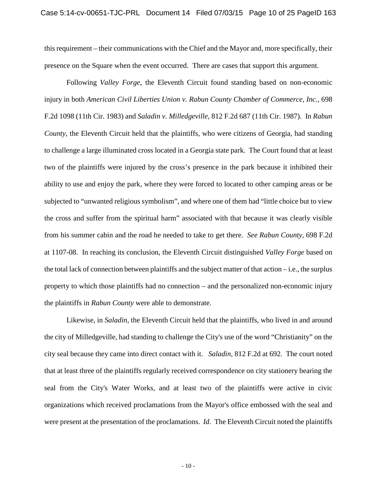this requirement – their communications with the Chief and the Mayor and, more specifically, their presence on the Square when the event occurred. There are cases that support this argument.

Following *Valley Forge*, the Eleventh Circuit found standing based on non-economic injury in both *American Civil Liberties Union v. Rabun County Chamber of Commerce, Inc.,* 698 F.2d 1098 (11th Cir. 1983) and *Saladin v. Milledgeville*, 812 F.2d 687 (11th Cir. 1987). In *Rabun County*, the Eleventh Circuit held that the plaintiffs, who were citizens of Georgia, had standing to challenge a large illuminated cross located in a Georgia state park. The Court found that at least two of the plaintiffs were injured by the cross's presence in the park because it inhibited their ability to use and enjoy the park, where they were forced to located to other camping areas or be subjected to "unwanted religious symbolism", and where one of them had "little choice but to view the cross and suffer from the spiritual harm" associated with that because it was clearly visible from his summer cabin and the road he needed to take to get there. *See Rabun County*, 698 F.2d at 1107-08. In reaching its conclusion, the Eleventh Circuit distinguished *Valley Forge* based on the total lack of connection between plaintiffs and the subject matter of that action  $-i.e.,$  the surplus property to which those plaintiffs had no connection – and the personalized non-economic injury the plaintiffs in *Rabun County* were able to demonstrate.

Likewise, in *Saladin*, the Eleventh Circuit held that the plaintiffs, who lived in and around the city of Milledgeville, had standing to challenge the City's use of the word "Christianity" on the city seal because they came into direct contact with it. *Saladin*, 812 F.2d at 692. The court noted that at least three of the plaintiffs regularly received correspondence on city stationery bearing the seal from the City's Water Works, and at least two of the plaintiffs were active in civic organizations which received proclamations from the Mayor's office embossed with the seal and were present at the presentation of the proclamations. *Id.* The Eleventh Circuit noted the plaintiffs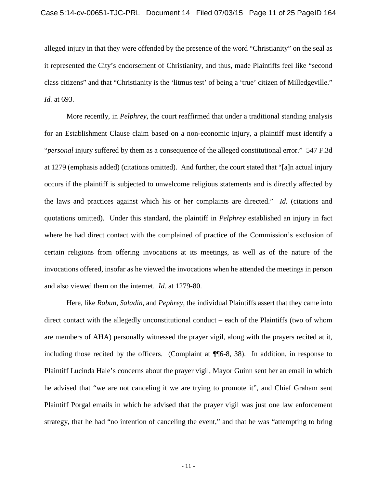alleged injury in that they were offended by the presence of the word "Christianity" on the seal as it represented the City's endorsement of Christianity, and thus, made Plaintiffs feel like "second class citizens" and that "Christianity is the 'litmus test' of being a 'true' citizen of Milledgeville." *Id.* at 693.

More recently, in *Pelphrey*, the court reaffirmed that under a traditional standing analysis for an Establishment Clause claim based on a non-economic injury, a plaintiff must identify a "*personal* injury suffered by them as a consequence of the alleged constitutional error." 547 F.3d at 1279 (emphasis added) (citations omitted). And further, the court stated that "[a]n actual injury occurs if the plaintiff is subjected to unwelcome religious statements and is directly affected by the laws and practices against which his or her complaints are directed." *Id.* (citations and quotations omitted). Under this standard, the plaintiff in *Pelphrey* established an injury in fact where he had direct contact with the complained of practice of the Commission's exclusion of certain religions from offering invocations at its meetings, as well as of the nature of the invocations offered, insofar as he viewed the invocations when he attended the meetings in person and also viewed them on the internet. *Id.* at 1279-80.

Here, like *Rabun*, *Saladin*, and *Pephrey*, the individual Plaintiffs assert that they came into direct contact with the allegedly unconstitutional conduct – each of the Plaintiffs (two of whom are members of AHA) personally witnessed the prayer vigil, along with the prayers recited at it, including those recited by the officers. (Complaint at ¶¶6-8, 38). In addition, in response to Plaintiff Lucinda Hale's concerns about the prayer vigil, Mayor Guinn sent her an email in which he advised that "we are not canceling it we are trying to promote it", and Chief Graham sent Plaintiff Porgal emails in which he advised that the prayer vigil was just one law enforcement strategy, that he had "no intention of canceling the event," and that he was "attempting to bring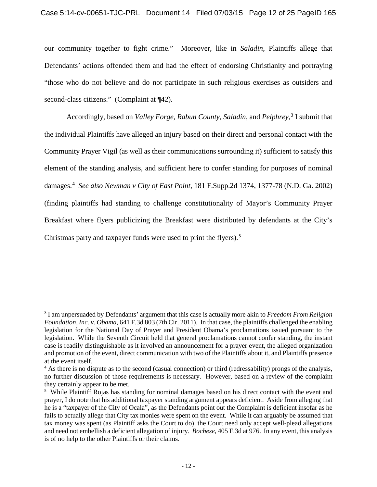our community together to fight crime." Moreover, like in *Saladin*, Plaintiffs allege that Defendants' actions offended them and had the effect of endorsing Christianity and portraying "those who do not believe and do not participate in such religious exercises as outsiders and second-class citizens." (Complaint at  $\P$ 42).

Accordingly, based on *Valley Forge*, *Rabun County*, *Saladin*, and *Pelphrey*, [3](#page-11-0) I submit that the individual Plaintiffs have alleged an injury based on their direct and personal contact with the Community Prayer Vigil (as well as their communications surrounding it) sufficient to satisfy this element of the standing analysis, and sufficient here to confer standing for purposes of nominal damages.[4](#page-11-1) *See also Newman v City of East Point*, 181 F.Supp.2d 1374, 1377-78 (N.D. Ga. 2002) (finding plaintiffs had standing to challenge constitutionality of Mayor's Community Prayer Breakfast where flyers publicizing the Breakfast were distributed by defendants at the City's Christmas party and taxpayer funds were used to print the flyers). [5](#page-11-2)

<span id="page-11-0"></span> <sup>3</sup> I am unpersuaded by Defendants' argument that this case is actually more akin to *Freedom From Religion Foundation, Inc. v. Obama*, 641 F.3d 803 (7th Cir. 2011). In that case, the plaintiffs challenged the enabling legislation for the National Day of Prayer and President Obama's proclamations issued pursuant to the legislation. While the Seventh Circuit held that general proclamations cannot confer standing, the instant case is readily distinguishable as it involved an announcement for a prayer event, the alleged organization and promotion of the event, direct communication with two of the Plaintiffs about it, and Plaintiffs presence at the event itself.

<span id="page-11-1"></span><sup>4</sup> As there is no dispute as to the second (casual connection) or third (redressability) prongs of the analysis, no further discussion of those requirements is necessary. However, based on a review of the complaint they certainly appear to be met.

<span id="page-11-2"></span><sup>&</sup>lt;sup>5</sup> While Plaintiff Rojas has standing for nominal damages based on his direct contact with the event and prayer, I do note that his additional taxpayer standing argument appears deficient. Aside from alleging that he is a "taxpayer of the City of Ocala", as the Defendants point out the Complaint is deficient insofar as he fails to actually allege that City tax monies were spent on the event. While it can arguably be assumed that tax money was spent (as Plaintiff asks the Court to do), the Court need only accept well-plead allegations and need not embellish a deficient allegation of injury. *Bochese*, 405 F.3d at 976. In any event, this analysis is of no help to the other Plaintiffs or their claims.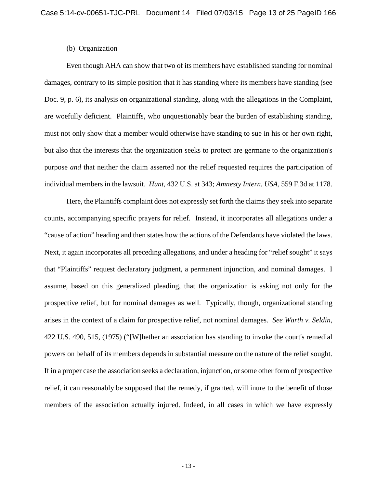### (b) Organization

Even though AHA can show that two of its members have established standing for nominal damages, contrary to its simple position that it has standing where its members have standing (see Doc. 9, p. 6), its analysis on organizational standing, along with the allegations in the Complaint, are woefully deficient. Plaintiffs, who unquestionably bear the burden of establishing standing, must not only show that a member would otherwise have standing to sue in his or her own right, but also that the interests that the organization seeks to protect are germane to the organization's purpose *and* that neither the claim asserted nor the relief requested requires the participation of individual members in the lawsuit. *Hunt*, [432 U.S. at](http://web2.westlaw.com/find/default.wl?mt=Westlaw&db=780&tc=-1&rp=%2ffind%2fdefault.wl&findtype=Y&ordoc=2011738420&serialnum=1977118827&vr=2.0&fn=_top&sv=Split&tf=-1&referencepositiontype=S&pbc=23F72377&referenceposition=343&rs=WLW15.04) 343; *Amnesty Intern. USA*, 559 F.3d at 1178.

Here, the Plaintiffs complaint does not expressly set forth the claims they seek into separate counts, accompanying specific prayers for relief. Instead, it incorporates all allegations under a "cause of action" heading and then states how the actions of the Defendants have violated the laws. Next, it again incorporates all preceding allegations, and under a heading for "relief sought" it says that "Plaintiffs" request declaratory judgment, a permanent injunction, and nominal damages. I assume, based on this generalized pleading, that the organization is asking not only for the prospective relief, but for nominal damages as well. Typically, though, organizational standing arises in the context of a claim for prospective relief, not nominal damages. *See Warth v. Seldin*, 422 U.S. 490, 515, (1975) ("[W]hether an association has standing to invoke the court's remedial powers on behalf of its members depends in substantial measure on the nature of the relief sought. If in a proper case the association seeks a declaration, injunction, or some other form of prospective relief, it can reasonably be supposed that the remedy, if granted, will inure to the benefit of those members of the association actually injured. Indeed, in all cases in which we have expressly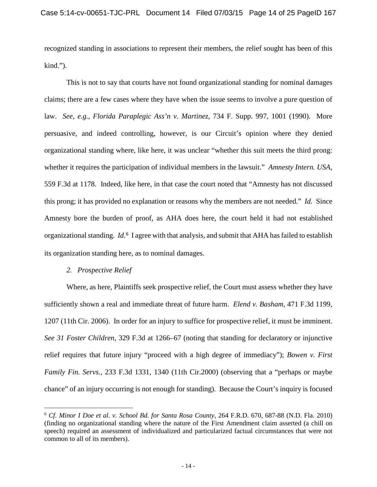recognized standing in associations to represent their members, the relief sought has been of this kind.").

This is not to say that courts have not found organizational standing for nominal damages claims; there are a few cases where they have when the issue seems to involve a pure question of law. *See, e.g., Florida Paraplegic Ass'n v. Martinez*, 734 F. Supp. 997, 1001 (1990). More persuasive, and indeed controlling, however, is our Circuit's opinion where they denied organizational standing where, like here, it was unclear "whether this suit meets the third prong: whether it requires the participation of individual members in the lawsuit." *Amnesty Intern. USA*, 559 F.3d at 1178. Indeed, like here, in that case the court noted that "Amnesty has not discussed this prong; it has provided no explanation or reasons why the members are not needed." *Id.* Since Amnesty bore the burden of proof, as AHA does here, the court held it had not established organizational standing. *Id*. [6](#page-13-0) I agree with that analysis, and submit that AHA has failed to establish its organization standing here, as to nominal damages.

## *2. Prospective Relief*

Where, as here, Plaintiffs seek prospective relief, the Court must assess whether they have sufficiently shown a real and immediate threat of future harm. *Elend v. Basham*, 471 F.3d 1199, 1207 (11th Cir. 2006). In order for an injury to suffice for prospective relief, it must be imminent. *See 31 Foster Children,* [329 F.3d at 1266–67](https://a.next.westlaw.com/Link/Document/FullText?findType=Y&serNum=2003335185&pubNum=506&originatingDoc=Ib4e38682851c11dbab489133ffb377e0&refType=RP&fi=co_pp_sp_506_1266&originationContext=document&transitionType=DocumentItem&contextData=%28sc.Search%29%23co_pp_sp_506_1266) (noting that standing for declaratory or injunctive relief requires that future injury "proceed with a high degree of immediacy"); *[Bowen v. First](https://a.next.westlaw.com/Link/Document/FullText?findType=Y&serNum=2000620376&pubNum=506&originatingDoc=Ib4e38682851c11dbab489133ffb377e0&refType=RP&fi=co_pp_sp_506_1340&originationContext=document&transitionType=DocumentItem&contextData=%28sc.Search%29%23co_pp_sp_506_1340)  Family Fin. Servs.,* [233 F.3d 1331, 1340 \(11th Cir.2000\)](https://a.next.westlaw.com/Link/Document/FullText?findType=Y&serNum=2000620376&pubNum=506&originatingDoc=Ib4e38682851c11dbab489133ffb377e0&refType=RP&fi=co_pp_sp_506_1340&originationContext=document&transitionType=DocumentItem&contextData=%28sc.Search%29%23co_pp_sp_506_1340) (observing that a "perhaps or maybe chance" of an injury occurring is not enough for standing). Because the Court's inquiry is focused

<span id="page-13-0"></span> <sup>6</sup> *Cf. Minor I Doe et al. v. School Bd. for Santa Rosa County*, 264 F.R.D. 670, 687-88 (N.D. Fla. 2010) (finding no organizational standing where the nature of the First Amendment claim asserted (a chill on speech) required an assessment of individualized and particularized factual circumstances that were not common to all of its members).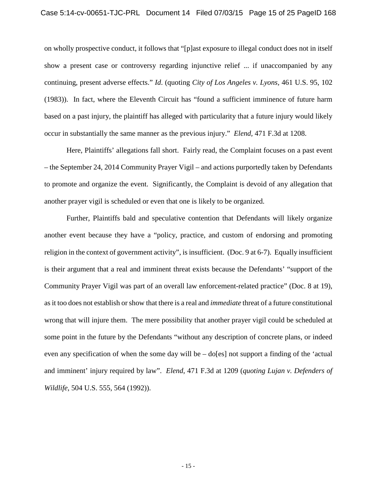on wholly prospective conduct, it follows that "[p]ast exposure to illegal conduct does not in itself show a present case or controversy regarding injunctive relief ... if unaccompanied by any continuing, present adverse effects." *Id*. (quoting *City of Los Angeles v. Lyons,* [461 U.S. 95,](http://web2.westlaw.com/find/default.wl?mt=Westlaw&db=708&tc=-1&rp=%2ffind%2fdefault.wl&findtype=Y&ordoc=2010803495&serialnum=1983118235&vr=2.0&fn=_top&sv=Split&tf=-1&pbc=7AB9B8CD&rs=WLW15.04) 102 (1983)). In fact, where the Eleventh Circuit has "found a sufficient imminence of future harm based on a past injury, the plaintiff has alleged with particularity that a future injury would likely occur in substantially the same manner as the previous injury." *Elend,* 471 F.3d at 1208.

Here, Plaintiffs' allegations fall short. Fairly read, the Complaint focuses on a past event – the September 24, 2014 Community Prayer Vigil – and actions purportedly taken by Defendants to promote and organize the event. Significantly, the Complaint is devoid of any allegation that another prayer vigil is scheduled or even that one is likely to be organized.

Further, Plaintiffs bald and speculative contention that Defendants will likely organize another event because they have a "policy, practice, and custom of endorsing and promoting religion in the context of government activity", is insufficient. (Doc. 9 at 6-7). Equally insufficient is their argument that a real and imminent threat exists because the Defendants' "support of the Community Prayer Vigil was part of an overall law enforcement-related practice" (Doc. 8 at 19), as it too does not establish or show that there is a real and *immediate* threat of a future constitutional wrong that will injure them. The mere possibility that another prayer vigil could be scheduled at some point in the future by the Defendants "without any description of concrete plans, or indeed even any specification of when the some day will be  $-$  do[es] not support a finding of the 'actual and imminent' injury required by law". *Elend*, 471 F.3d at 1209 (*quoting Lujan v. Defenders of Wildlife*, 504 U.S. 555, 564 (1992)).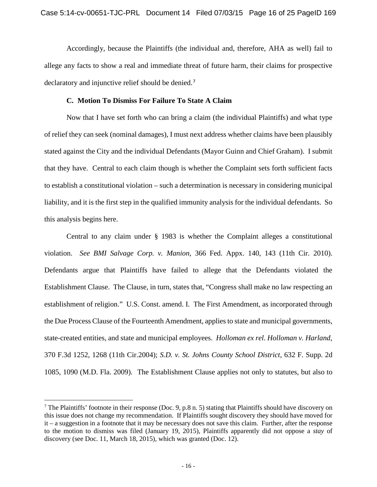Accordingly, because the Plaintiffs (the individual and, therefore, AHA as well) fail to allege any facts to show a real and immediate threat of future harm, their claims for prospective declaratory and injunctive relief should be denied.<sup>[7](#page-15-0)</sup>

## **C. Motion To Dismiss For Failure To State A Claim**

Now that I have set forth who can bring a claim (the individual Plaintiffs) and what type of relief they can seek (nominal damages), I must next address whether claims have been plausibly stated against the City and the individual Defendants (Mayor Guinn and Chief Graham). I submit that they have. Central to each claim though is whether the Complaint sets forth sufficient facts to establish a constitutional violation – such a determination is necessary in considering municipal liability, and it is the first step in the qualified immunity analysis for the individual defendants. So this analysis begins here.

Central to any claim under § 1983 is whether the Complaint alleges a constitutional violation. *See BMI Salvage Corp. v. Manion*, 366 Fed. Appx. 140, 143 (11th Cir. 2010). Defendants argue that Plaintiffs have failed to allege that the Defendants violated the Establishment Clause. The Clause, in turn, states that, "Congress shall make no law respecting an establishment of religion." U.S. Const. amend. I. The First Amendment, as incorporated through the Due Process Clause of the Fourteenth Amendment, applies to state and municipal governments, state-created entities, and state and municipal employees. *[Holloman ex rel. Holloman v. Harland,](http://web2.westlaw.com/find/default.wl?mt=Westlaw&db=506&tc=-1&rp=%2ffind%2fdefault.wl&findtype=Y&ordoc=2018624726&serialnum=2004523948&vr=2.0&fn=_top&sv=Split&tf=-1&referencepositiontype=S&pbc=95CE11E1&referenceposition=1268&rs=WLW15.04)* [370 F.3d 1252, 1268 \(11th Cir.2004\);](http://web2.westlaw.com/find/default.wl?mt=Westlaw&db=506&tc=-1&rp=%2ffind%2fdefault.wl&findtype=Y&ordoc=2018624726&serialnum=2004523948&vr=2.0&fn=_top&sv=Split&tf=-1&referencepositiontype=S&pbc=95CE11E1&referenceposition=1268&rs=WLW15.04) *S.D. v. St. Johns County School District*, 632 F. Supp. 2d 1085, 1090 (M.D. Fla. 2009). The Establishment Clause applies not only to statutes, but also to

<span id="page-15-0"></span><sup>&</sup>lt;sup>7</sup> The Plaintiffs' footnote in their response (Doc. 9, p.8 n. 5) stating that Plaintiffs should have discovery on this issue does not change my recommendation. If Plaintiffs sought discovery they should have moved for it – a suggestion in a footnote that it may be necessary does not save this claim. Further, after the response to the motion to dismiss was filed (January 19, 2015), Plaintiffs apparently did not oppose a *stay* of discovery (see Doc. 11, March 18, 2015), which was granted (Doc. 12).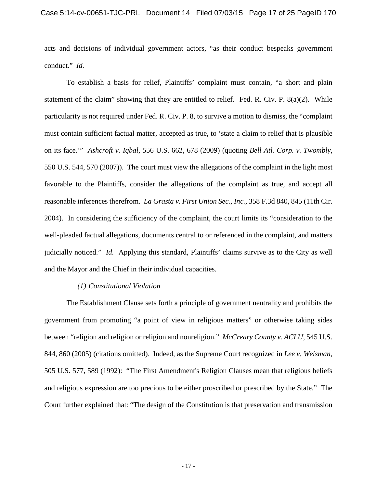acts and decisions of individual government actors, "as their conduct bespeaks government conduct." *Id.*

To establish a basis for relief, Plaintiffs' complaint must contain, "a short and plain statement of the claim" showing that they are entitled to relief. Fed. R. Civ. P.  $8(a)(2)$ . While particularity is not required under Fed. R. Civ. P. 8, to survive a motion to dismiss, the "complaint must contain sufficient factual matter, accepted as true, to 'state a claim to relief that is plausible on its face.'" *Ashcroft v. Iqbal*, 556 U.S. 662, 678 (2009) (quoting *Bell Atl. Corp. v. Twombly*, 550 U.S. 544, 570 (2007)). The court must view the allegations of the complaint in the light most favorable to the Plaintiffs, consider the allegations of the complaint as true, and accept all reasonable inferences therefrom. *La Grasta v. First Union Sec., Inc.*, 358 F.3d 840, 845 (11th Cir. 2004). In considering the sufficiency of the complaint, the court limits its "consideration to the well-pleaded factual allegations, documents central to or referenced in the complaint, and matters judicially noticed." *Id.* Applying this standard, Plaintiffs' claims survive as to the City as well and the Mayor and the Chief in their individual capacities.

### *(1) Constitutional Violation*

The Establishment Clause sets forth a principle of government neutrality and prohibits the government from promoting "a point of view in religious matters" or otherwise taking sides between "religion and religion or religion and nonreligion." *[McCreary County v. ACLU,](http://web2.westlaw.com/find/default.wl?mt=Westlaw&db=708&tc=-1&rp=%2ffind%2fdefault.wl&findtype=Y&ordoc=2020612843&serialnum=2006858344&vr=2.0&fn=_top&sv=Split&tf=-1&pbc=EA6EA489&rs=WLW15.04)* 545 U.S. [844, 860](http://web2.westlaw.com/find/default.wl?mt=Westlaw&db=708&tc=-1&rp=%2ffind%2fdefault.wl&findtype=Y&ordoc=2020612843&serialnum=2006858344&vr=2.0&fn=_top&sv=Split&tf=-1&pbc=EA6EA489&rs=WLW15.04) (2005) (citations omitted). Indeed, as the Supreme Court recognized in *Lee v. Weisman*, 505 U.S. 577, 589 (1992): "The First Amendment's Religion Clauses mean that religious beliefs and religious expression are too precious to be either proscribed or prescribed by the State." The Court further explained that: "The design of the Constitution is that preservation and transmission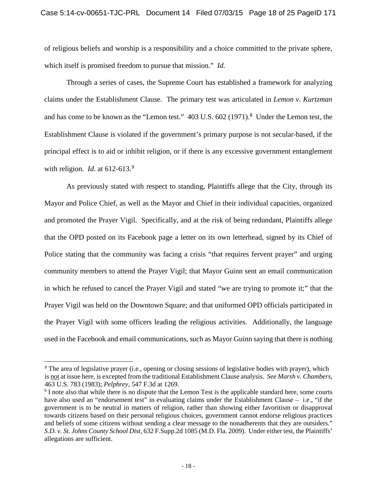of religious beliefs and worship is a responsibility and a choice committed to the private sphere, which itself is promised freedom to pursue that mission." *Id.*

Through a series of cases, the Supreme Court has established a framework for analyzing claims under the Establishment Clause. The primary test was articulated in *Lemon v. Kurtzman* and has come to be known as the "Lemon test." 403 U.S. 602 (1971).<sup>[8](#page-17-0)</sup> Under the Lemon test, the Establishment Clause is violated if the government's primary purpose is not secular-based, if the principal effect is to aid or inhibit religion, or if there is any excessive government entanglement with religion. *Id.* at 612-613.<sup>[9](#page-17-1)</sup>

As previously stated with respect to standing, Plaintiffs allege that the City, through its Mayor and Police Chief, as well as the Mayor and Chief in their individual capacities, organized and promoted the Prayer Vigil. Specifically, and at the risk of being redundant, Plaintiffs allege that the OPD posted on its Facebook page a letter on its own letterhead, signed by its Chief of Police stating that the community was facing a crisis "that requires fervent prayer" and urging community members to attend the Prayer Vigil; that Mayor Guinn sent an email communication in which he refused to cancel the Prayer Vigil and stated "we are trying to promote it;" that the Prayer Vigil was held on the Downtown Square; and that uniformed OPD officials participated in the Prayer Vigil with some officers leading the religious activities. Additionally, the language used in the Facebook and email communications, such as Mayor Guinn saying that there is nothing

<span id="page-17-0"></span><sup>&</sup>lt;sup>8</sup> The area of legislative prayer (i.e., opening or closing sessions of legislative bodies with prayer), which is not at issue here, is excepted from the traditional Establishment Clause analysis. *See Marsh v. Chambers*, 463 U.S. 783 (1983); *Pelphrey*, 547 F.3d at 1269. 9 I note also that while there is no dispute that the Lemon Test is the applicable standard here, some courts

<span id="page-17-1"></span>have also used an "endorsement test" in evaluating claims under the Establishment Clause – i.e., "if the government is to be neutral in matters of religion, rather than showing either favoritism or disapproval towards citizens based on their personal religious choices, government cannot endorse religious practices and beliefs of some citizens without sending a clear message to the nonadherents that they are outsiders." *S.D. v. St. Johns County School Dist*, 632 F.Supp.2d 1085 (M.D. Fla. 2009). Under either test, the Plaintiffs' allegations are sufficient.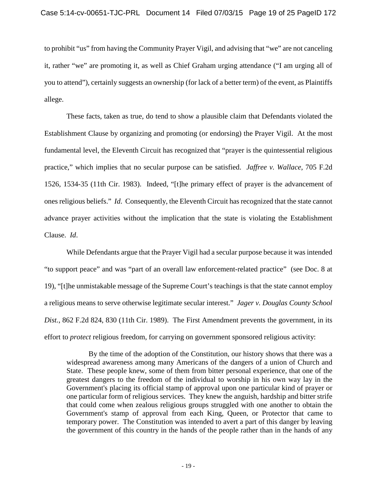to prohibit "us" from having the Community Prayer Vigil, and advising that "we" are not canceling it, rather "we" are promoting it, as well as Chief Graham urging attendance ("I am urging all of you to attend"), certainly suggests an ownership (for lack of a better term) of the event, as Plaintiffs allege.

These facts, taken as true, do tend to show a plausible claim that Defendants violated the Establishment Clause by organizing and promoting (or endorsing) the Prayer Vigil. At the most fundamental level, the Eleventh Circuit has recognized that "prayer is the quintessential religious practice," which implies that no secular purpose can be satisfied. *Jaffree v. Wallace*, 705 F.2d 1526, 1534-35 (11th Cir. 1983). Indeed, "[t]he primary effect of prayer is the advancement of ones religious beliefs." *Id*. Consequently, the Eleventh Circuit has recognized that the state cannot advance prayer activities without the implication that the state is violating the Establishment Clause. *Id*.

While Defendants argue that the Prayer Vigil had a secular purpose because it was intended "to support peace" and was "part of an overall law enforcement-related practice" (see Doc. 8 at 19), "[t]he unmistakable message of the Supreme Court's teachings is that the state cannot employ a religious means to serve otherwise legitimate secular interest." *Jager v. Douglas County School Dist.*, 862 F.2d 824, 830 (11th Cir. 1989). The First Amendment prevents the government, in its effort to *protect* religious freedom, for carrying on government sponsored religious activity:

By the time of the adoption of the Constitution, our history shows that there was a widespread awareness among many Americans of the dangers of a union of Church and State. These people knew, some of them from bitter personal experience, that one of the greatest dangers to the freedom of the individual to worship in his own way lay in the Government's placing its official stamp of approval upon one particular kind of prayer or one particular form of religious services. They knew the anguish, hardship and bitter strife that could come when zealous religious groups struggled with one another to obtain the Government's stamp of approval from each King, Queen, or Protector that came to temporary power. The Constitution was intended to avert a part of this danger by leaving the government of this country in the hands of the people rather than in the hands of any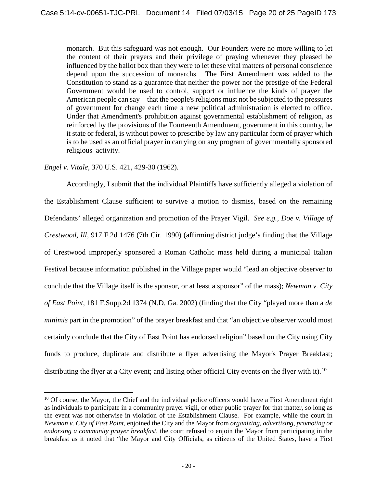monarch. But this safeguard was not enough. Our Founders were no more willing to let the content of their prayers and their privilege of praying whenever they pleased be influenced by the ballot box than they were to let these vital matters of personal conscience depend upon the succession of monarchs. The First Amendment was added to the Constitution to stand as a guarantee that neither the power nor the prestige of the Federal Government would be used to control, support or influence the kinds of prayer the American people can say—that the people's religions must not be subjected to the pressures of government for change each time a new political administration is elected to office. Under that Amendment's prohibition against governmental establishment of religion, as reinforced by the provisions of the Fourteenth Amendment, government in this country, be it state or federal, is without power to prescribe by law any particular form of prayer which is to be used as an official prayer in carrying on any program of governmentally sponsored religious activity.

# *Engel v. Vitale*, 370 U.S. 421, 429-30 (1962).

Accordingly, I submit that the individual Plaintiffs have sufficiently alleged a violation of the Establishment Clause sufficient to survive a motion to dismiss, based on the remaining Defendants' alleged organization and promotion of the Prayer Vigil. *See e.g., Doe v. Village of Crestwood, Ill*, 917 F.2d 1476 (7th Cir. 1990) (affirming district judge's finding that the Village of Crestwood improperly sponsored a Roman Catholic mass held during a municipal Italian Festival because information published in the Village paper would "lead an objective observer to conclude that the Village itself is the sponsor, or at least a sponsor" of the mass); *Newman v. City of East Point*, 181 F.Supp.2d 1374 (N.D. Ga. 2002) (finding that the City "played more than a *de minimis* part in the promotion" of the prayer breakfast and that "an objective observer would most certainly conclude that the City of East Point has endorsed religion" based on the City using City funds to produce, duplicate and distribute a flyer advertising the Mayor's Prayer Breakfast; distributing the flyer at a City event; and listing other official City events on the flyer with it).<sup>[10](#page-19-0)</sup>

<span id="page-19-0"></span> $10$  Of course, the Mayor, the Chief and the individual police officers would have a First Amendment right as individuals to participate in a community prayer vigil, or other public prayer for that matter, so long as the event was not otherwise in violation of the Establishment Clause. For example, while the court in *Newman v. City of East Point*, enjoined the City and the Mayor from *organizing, advertising, promoting or endorsing a community prayer breakfast*, the court refused to enjoin the Mayor from participating in the breakfast as it noted that "the Mayor and City Officials, as citizens of the United States, have a First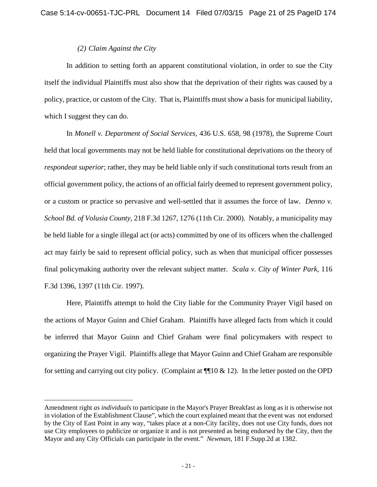# *(2) Claim Against the City*

 $\overline{a}$ 

In addition to setting forth an apparent constitutional violation, in order to sue the City itself the individual Plaintiffs must also show that the deprivation of their rights was caused by a policy, practice, or custom of the City. That is, Plaintiffs must show a basis for municipal liability, which I suggest they can do.

In *[Monell v. Department of Social Services,](http://web2.westlaw.com/find/default.wl?mt=Westlaw&db=708&tc=-1&rp=%2ffind%2fdefault.wl&findtype=Y&ordoc=2000447724&serialnum=1978114250&vr=2.0&fn=_top&sv=Split&tf=-1&pbc=36B2102B&rs=WLW15.04)* 436 U.S. 658, 98 (1978), the Supreme Court held that local governments may not be held liable for constitutional deprivations on the theory of *respondeat superior*; rather, they may be held liable only if such constitutional torts result from an official government policy, the actions of an official fairly deemed to represent government policy, or a custom or practice so pervasive and well-settled that it assumes the force of law. *Denno v. School Bd. of Volusia County*, 218 F.3d 1267, 1276 (11th Cir. 2000). Notably, a municipality may be held liable for a single illegal act (or acts) committed by one of its officers when the challenged act may fairly be said to represent official policy, such as when that municipal officer possesses final policymaking authority over the relevant subject matter. *Scala v. City of Winter Park*, 116 F.3d 1396, 1397 (11th Cir. 1997).

Here, Plaintiffs attempt to hold the City liable for the Community Prayer Vigil based on the actions of Mayor Guinn and Chief Graham. Plaintiffs have alleged facts from which it could be inferred that Mayor Guinn and Chief Graham were final policymakers with respect to organizing the Prayer Vigil. Plaintiffs allege that Mayor Guinn and Chief Graham are responsible for setting and carrying out city policy. (Complaint at  $\P$ 10 & 12). In the letter posted on the OPD

Amendment right *as individuals* to participate in the Mayor's Prayer Breakfast as long as it is otherwise not in violation of the Establishment Clause", which the court explained meant that the event was not endorsed by the City of East Point in any way, "takes place at a non-City facility, does not use City funds, does not use City employees to publicize or organize it and is not presented as being endorsed by the City, then the Mayor and any City Officials can participate in the event." *Newman*, 181 F.Supp.2d at 1382.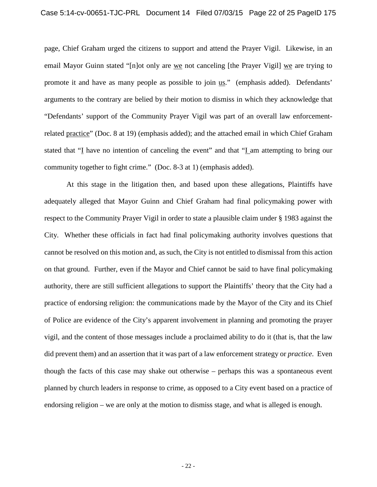page, Chief Graham urged the citizens to support and attend the Prayer Vigil. Likewise, in an email Mayor Guinn stated "[n]ot only are we not canceling [the Prayer Vigil] we are trying to promote it and have as many people as possible to join us." (emphasis added). Defendants' arguments to the contrary are belied by their motion to dismiss in which they acknowledge that "Defendants' support of the Community Prayer Vigil was part of an overall law enforcementrelated practice" (Doc. 8 at 19) (emphasis added); and the attached email in which Chief Graham stated that "I have no intention of canceling the event" and that "I am attempting to bring our community together to fight crime." (Doc. 8-3 at 1) (emphasis added).

At this stage in the litigation then, and based upon these allegations, Plaintiffs have adequately alleged that Mayor Guinn and Chief Graham had final policymaking power with respect to the Community Prayer Vigil in order to state a plausible claim under [§ 1983](http://web2.westlaw.com/find/default.wl?mt=Westlaw&db=1000546&docname=42USCAS1983&rp=%2ffind%2fdefault.wl&findtype=L&ordoc=2028159573&tc=-1&vr=2.0&fn=_top&sv=Split&tf=-1&pbc=71A64742&rs=WLW15.04) against the City. Whether these officials in fact had final policymaking authority involves questions that cannot be resolved on this motion and, as such, the City is not entitled to dismissal from this action on that ground. Further, even if the Mayor and Chief cannot be said to have final policymaking authority, there are still sufficient allegations to support the Plaintiffs' theory that the City had a practice of endorsing religion: the communications made by the Mayor of the City and its Chief of Police are evidence of the City's apparent involvement in planning and promoting the prayer vigil, and the content of those messages include a proclaimed ability to do it (that is, that the law did prevent them) and an assertion that it was part of a law enforcement strategy or *practice*. Even though the facts of this case may shake out otherwise – perhaps this was a spontaneous event planned by church leaders in response to crime, as opposed to a City event based on a practice of endorsing religion – we are only at the motion to dismiss stage, and what is alleged is enough.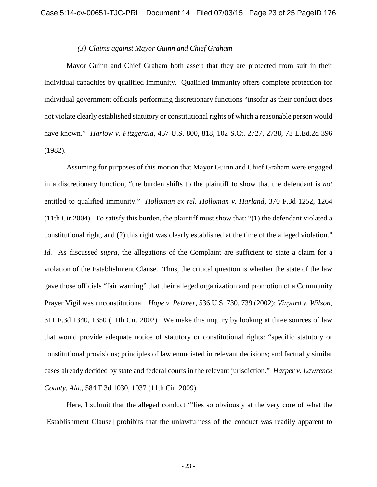#### *(3) Claims against Mayor Guinn and Chief Graham*

Mayor Guinn and Chief Graham both assert that they are protected from suit in their individual capacities by qualified immunity. Qualified immunity offers complete protection for individual government officials performing discretionary functions "insofar as their conduct does not violate clearly established statutory or constitutional rights of which a reasonable person would have known." *Harlow v. Fitzgerald,* [457 U.S. 800, 818, 102 S.Ct. 2727, 2738, 73 L.Ed.2d 396](http://web2.westlaw.com/find/default.wl?mt=Westlaw&db=708&tc=-1&rp=%2ffind%2fdefault.wl&findtype=Y&ordoc=2021840812&serialnum=1982128582&vr=2.0&fn=_top&sv=Split&tf=-1&referencepositiontype=S&pbc=477A0974&referenceposition=2738&rs=WLW15.04)  [\(1982\).](http://web2.westlaw.com/find/default.wl?mt=Westlaw&db=708&tc=-1&rp=%2ffind%2fdefault.wl&findtype=Y&ordoc=2021840812&serialnum=1982128582&vr=2.0&fn=_top&sv=Split&tf=-1&referencepositiontype=S&pbc=477A0974&referenceposition=2738&rs=WLW15.04)

Assuming for purposes of this motion that Mayor Guinn and Chief Graham were engaged in a discretionary function, "the burden shifts to the plaintiff to show that the defendant is *not* entitled to qualified immunity." *[Holloman ex rel. Holloman v. Harland,](http://web2.westlaw.com/find/default.wl?mt=Westlaw&db=506&tc=-1&rp=%2ffind%2fdefault.wl&findtype=Y&ordoc=2021840812&serialnum=2004523948&vr=2.0&fn=_top&sv=Split&tf=-1&referencepositiontype=S&pbc=477A0974&referenceposition=1264&rs=WLW15.04)* 370 F.3d 1252, 1264 [\(11th Cir.2004\).](http://web2.westlaw.com/find/default.wl?mt=Westlaw&db=506&tc=-1&rp=%2ffind%2fdefault.wl&findtype=Y&ordoc=2021840812&serialnum=2004523948&vr=2.0&fn=_top&sv=Split&tf=-1&referencepositiontype=S&pbc=477A0974&referenceposition=1264&rs=WLW15.04) To satisfy this burden, the plaintiff must show that: "(1) the defendant violated a constitutional right, and (2) this right was clearly established at the time of the alleged violation." *[Id.](http://web2.westlaw.com/find/default.wl?rs=WLW15.04&pbc=477A0974&vr=2.0&findtype=Y&rp=%2ffind%2fdefault.wl&sv=Split&fn=_top&tf=-1&ordoc=2021840812&mt=Westlaw&serialnum=2004523948&tc=-1)* As discussed *supra*, the allegations of the Complaint are sufficient to state a claim for a violation of the Establishment Clause. Thus, the critical question is whether the state of the law gave those officials "fair warning" that their alleged organization and promotion of a Community Prayer Vigil was unconstitutional. *Hope v. Pelzner*, 536 U.S. 730, 739 (2002); *Vinyard v. Wilson*, 311 F.3d 1340, 1350 (11th Cir. 2002). We make this inquiry by looking at three sources of law that would provide adequate notice of statutory or constitutional rights: "specific statutory or constitutional provisions; principles of law enunciated in relevant decisions; and factually similar cases already decided by state and federal courts in the relevant jurisdiction." *Harper v. Lawrence County, Ala.,* 584 F.3d 1030, 1037 (11th Cir. 2009).

Here, I submit that the alleged conduct "'lies so obviously at the very core of what the [Establishment Clause] prohibits that the unlawfulness of the conduct was readily apparent to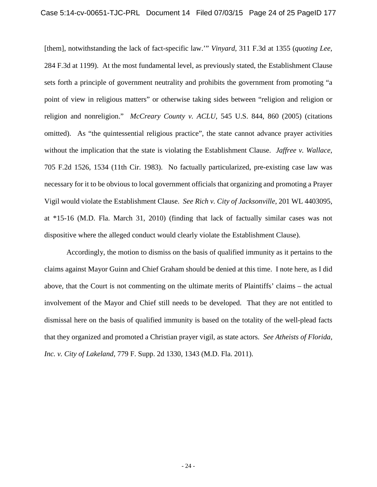[them], notwithstanding the lack of fact-specific law.'" *Vinyard,* [311 F.3d at 1355](http://web2.westlaw.com/find/default.wl?mt=Westlaw&db=506&tc=-1&rp=%2ffind%2fdefault.wl&findtype=Y&ordoc=2023628795&serialnum=2002721111&vr=2.0&fn=_top&sv=Split&tf=-1&referencepositiontype=S&pbc=11D59245&referenceposition=1355&rs=WLW15.04) (*quoting [Lee,](http://web2.westlaw.com/find/default.wl?mt=Westlaw&db=506&tc=-1&rp=%2ffind%2fdefault.wl&findtype=Y&ordoc=2023628795&serialnum=2002161721&vr=2.0&fn=_top&sv=Split&tf=-1&referencepositiontype=S&pbc=11D59245&referenceposition=1199&rs=WLW15.04)* [284 F.3d at 1199\).](http://web2.westlaw.com/find/default.wl?mt=Westlaw&db=506&tc=-1&rp=%2ffind%2fdefault.wl&findtype=Y&ordoc=2023628795&serialnum=2002161721&vr=2.0&fn=_top&sv=Split&tf=-1&referencepositiontype=S&pbc=11D59245&referenceposition=1199&rs=WLW15.04) At the most fundamental level, as previously stated, the Establishment Clause sets forth a principle of government neutrality and prohibits the government from promoting "a point of view in religious matters" or otherwise taking sides between "religion and religion or religion and nonreligion." *[McCreary County v. ACLU,](http://web2.westlaw.com/find/default.wl?mt=Westlaw&db=708&tc=-1&rp=%2ffind%2fdefault.wl&findtype=Y&ordoc=2020612843&serialnum=2006858344&vr=2.0&fn=_top&sv=Split&tf=-1&pbc=EA6EA489&rs=WLW15.04)* 545 U.S. 844, 860 (2005) (citations omitted). As "the quintessential religious practice", the state cannot advance prayer activities without the implication that the state is violating the Establishment Clause. *Jaffree v. Wallace*, 705 F.2d 1526, 1534 (11th Cir. 1983). No factually particularized, pre-existing case law was necessary for it to be obvious to local government officials that organizing and promoting a Prayer Vigil would violate the Establishment Clause. *See Rich v. City of Jacksonville*, 201 WL 4403095, at \*15-16 (M.D. Fla. March 31, 2010) (finding that lack of factually similar cases was not dispositive where the alleged conduct would clearly violate the Establishment Clause).

Accordingly, the motion to dismiss on the basis of qualified immunity as it pertains to the claims against Mayor Guinn and Chief Graham should be denied at this time. I note here, as I did above, that the Court is not commenting on the ultimate merits of Plaintiffs' claims – the actual involvement of the Mayor and Chief still needs to be developed. That they are not entitled to dismissal here on the basis of qualified immunity is based on the totality of the well-plead facts that they organized and promoted a Christian prayer vigil, as state actors. *See Atheists of Florida, Inc. v. City of Lakeland*, 779 F. Supp. 2d 1330, 1343 (M.D. Fla. 2011).